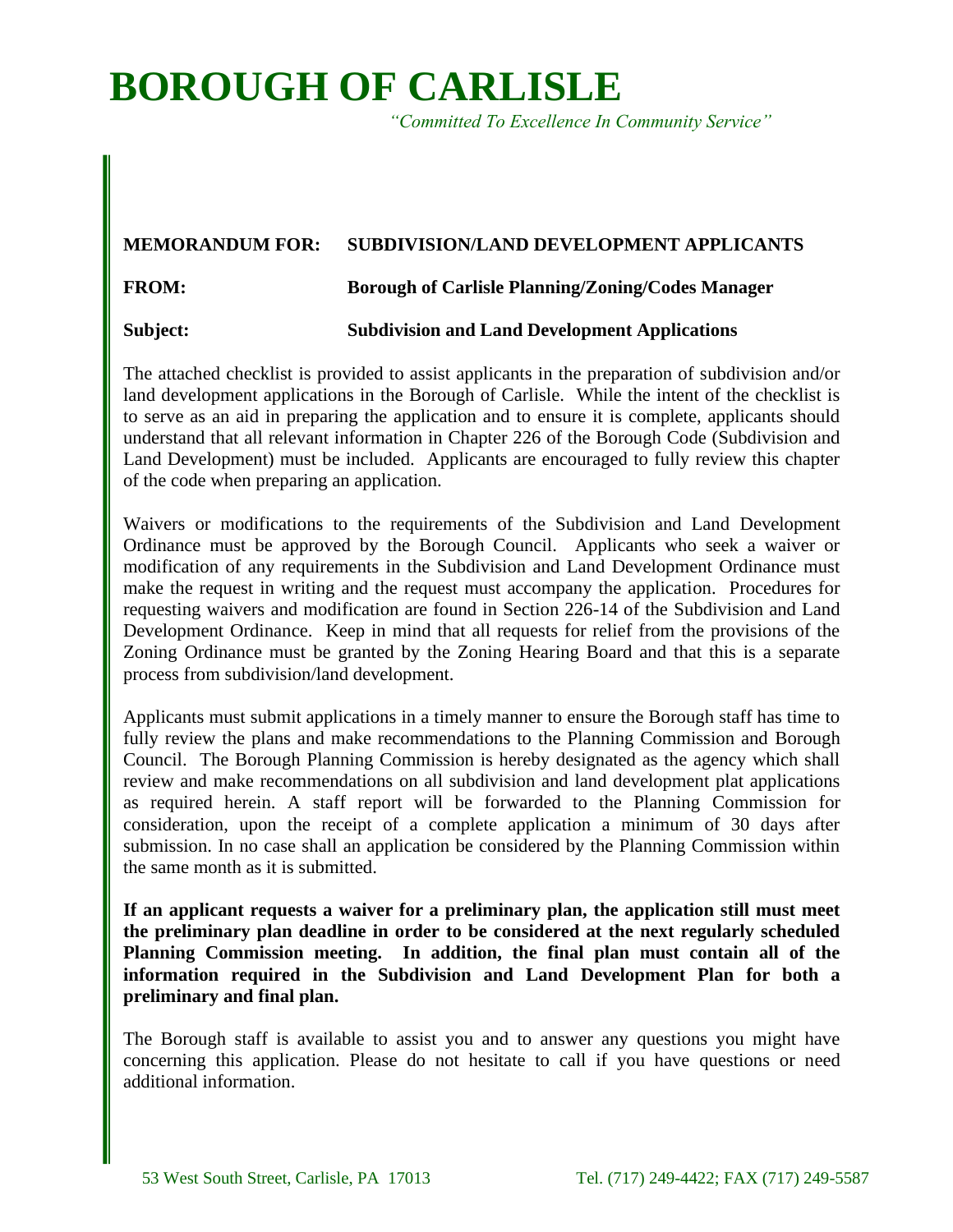# **BOROUGH OF CARLISLE**

 *"Committed To Excellence In Community Service"*

#### **MEMORANDUM FOR: SUBDIVISION/LAND DEVELOPMENT APPLICANTS**

#### **FROM: Borough of Carlisle Planning/Zoning/Codes Manager**

#### **Subject: Subdivision and Land Development Applications**

The attached checklist is provided to assist applicants in the preparation of subdivision and/or land development applications in the Borough of Carlisle. While the intent of the checklist is to serve as an aid in preparing the application and to ensure it is complete, applicants should understand that all relevant information in Chapter 226 of the Borough Code (Subdivision and Land Development) must be included. Applicants are encouraged to fully review this chapter of the code when preparing an application.

Waivers or modifications to the requirements of the Subdivision and Land Development Ordinance must be approved by the Borough Council. Applicants who seek a waiver or modification of any requirements in the Subdivision and Land Development Ordinance must make the request in writing and the request must accompany the application. Procedures for requesting waivers and modification are found in Section 226-14 of the Subdivision and Land Development Ordinance. Keep in mind that all requests for relief from the provisions of the Zoning Ordinance must be granted by the Zoning Hearing Board and that this is a separate process from subdivision/land development.

Applicants must submit applications in a timely manner to ensure the Borough staff has time to fully review the plans and make recommendations to the Planning Commission and Borough Council. The Borough Planning Commission is hereby designated as the agency which shall review and make recommendations on all subdivision and land development plat applications as required herein. A staff report will be forwarded to the Planning Commission for consideration, upon the receipt of a complete application a minimum of 30 days after submission. In no case shall an application be considered by the Planning Commission within the same month as it is submitted.

**If an applicant requests a waiver for a preliminary plan, the application still must meet the preliminary plan deadline in order to be considered at the next regularly scheduled Planning Commission meeting. In addition, the final plan must contain all of the information required in the Subdivision and Land Development Plan for both a preliminary and final plan.**

The Borough staff is available to assist you and to answer any questions you might have concerning this application. Please do not hesitate to call if you have questions or need additional information.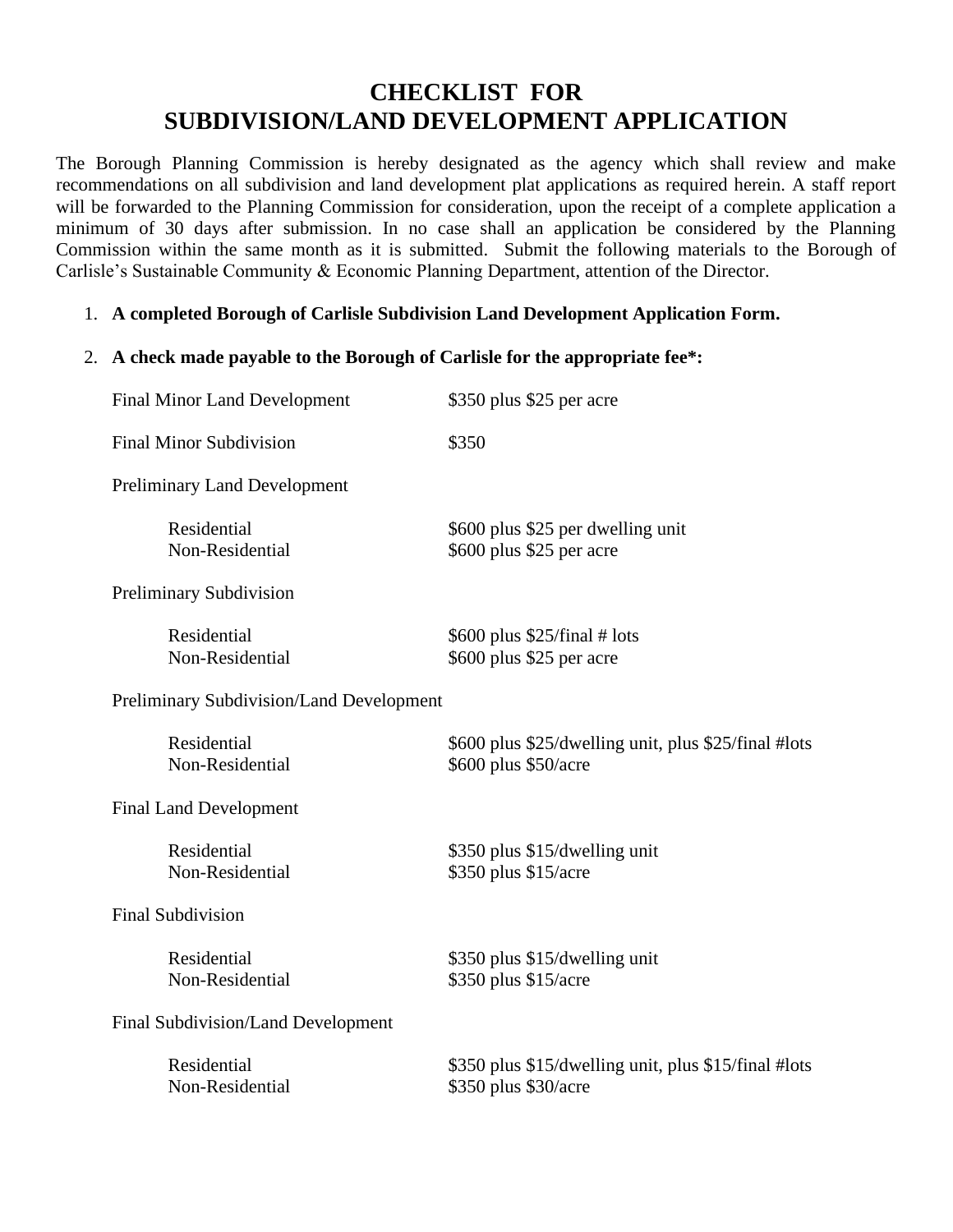## **CHECKLIST FOR SUBDIVISION/LAND DEVELOPMENT APPLICATION**

The Borough Planning Commission is hereby designated as the agency which shall review and make recommendations on all subdivision and land development plat applications as required herein. A staff report will be forwarded to the Planning Commission for consideration, upon the receipt of a complete application a minimum of 30 days after submission. In no case shall an application be considered by the Planning Commission within the same month as it is submitted. Submit the following materials to the Borough of Carlisle's Sustainable Community & Economic Planning Department, attention of the Director.

1. **A completed Borough of Carlisle Subdivision Land Development Application Form.**

#### 2. **A check made payable to the Borough of Carlisle for the appropriate fee\*:**

| <b>Final Minor Land Development</b>      | \$350 plus \$25 per acre                                                     |
|------------------------------------------|------------------------------------------------------------------------------|
| <b>Final Minor Subdivision</b>           | \$350                                                                        |
| <b>Preliminary Land Development</b>      |                                                                              |
| Residential<br>Non-Residential           | \$600 plus \$25 per dwelling unit<br>\$600 plus \$25 per acre                |
| Preliminary Subdivision                  |                                                                              |
| Residential<br>Non-Residential           | \$600 plus $$25/final$ # lots<br>\$600 plus \$25 per acre                    |
| Preliminary Subdivision/Land Development |                                                                              |
| Residential<br>Non-Residential           | \$600 plus \$25/dwelling unit, plus \$25/final #lots<br>\$600 plus \$50/acre |
| <b>Final Land Development</b>            |                                                                              |
| Residential<br>Non-Residential           | \$350 plus \$15/dwelling unit<br>\$350 plus \$15/acre                        |
| <b>Final Subdivision</b>                 |                                                                              |
| Residential<br>Non-Residential           | \$350 plus \$15/dwelling unit<br>\$350 plus \$15/acre                        |
| Final Subdivision/Land Development       |                                                                              |
| Residential<br>Non-Residential           | \$350 plus \$15/dwelling unit, plus \$15/final #lots<br>\$350 plus \$30/acre |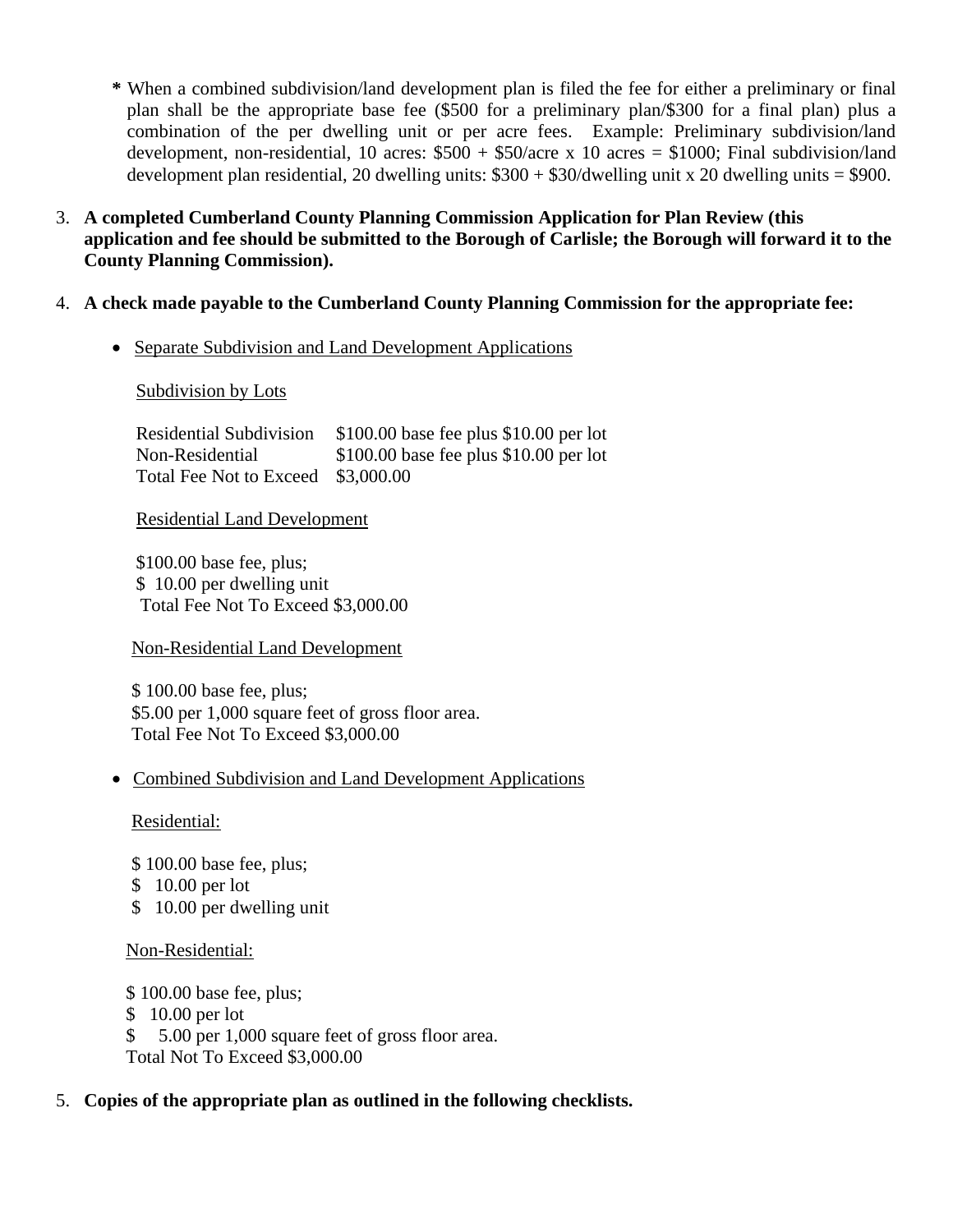**\*** When a combined subdivision/land development plan is filed the fee for either a preliminary or final plan shall be the appropriate base fee (\$500 for a preliminary plan/\$300 for a final plan) plus a combination of the per dwelling unit or per acre fees. Example: Preliminary subdivision/land development, non-residential, 10 acres:  $$500 + $50/$ acre x 10 acres = \$1000; Final subdivision/land development plan residential, 20 dwelling units:  $$300 + $30$ /dwelling unit x 20 dwelling units = \$900.

- 3. **A completed Cumberland County Planning Commission Application for Plan Review (this application and fee should be submitted to the Borough of Carlisle; the Borough will forward it to the County Planning Commission).**
- 4. **A check made payable to the Cumberland County Planning Commission for the appropriate fee:**
	- Separate Subdivision and Land Development Applications

#### Subdivision by Lots

| <b>Residential Subdivision</b> | $$100.00$ base fee plus $$10.00$ per lot |
|--------------------------------|------------------------------------------|
| Non-Residential                | $$100.00$ base fee plus $$10.00$ per lot |
| <b>Total Fee Not to Exceed</b> | \$3,000.00                               |

#### Residential Land Development

\$100.00 base fee, plus; \$ 10.00 per dwelling unit Total Fee Not To Exceed \$3,000.00

#### Non-Residential Land Development

\$ 100.00 base fee, plus; \$5.00 per 1,000 square feet of gross floor area. Total Fee Not To Exceed \$3,000.00

• Combined Subdivision and Land Development Applications

#### Residential:

- \$ 100.00 base fee, plus;
- \$ 10.00 per lot
- \$ 10.00 per dwelling unit

#### Non-Residential:

- \$ 100.00 base fee, plus;
- \$ 10.00 per lot
- \$ 5.00 per 1,000 square feet of gross floor area.
- Total Not To Exceed \$3,000.00

#### 5. **Copies of the appropriate plan as outlined in the following checklists.**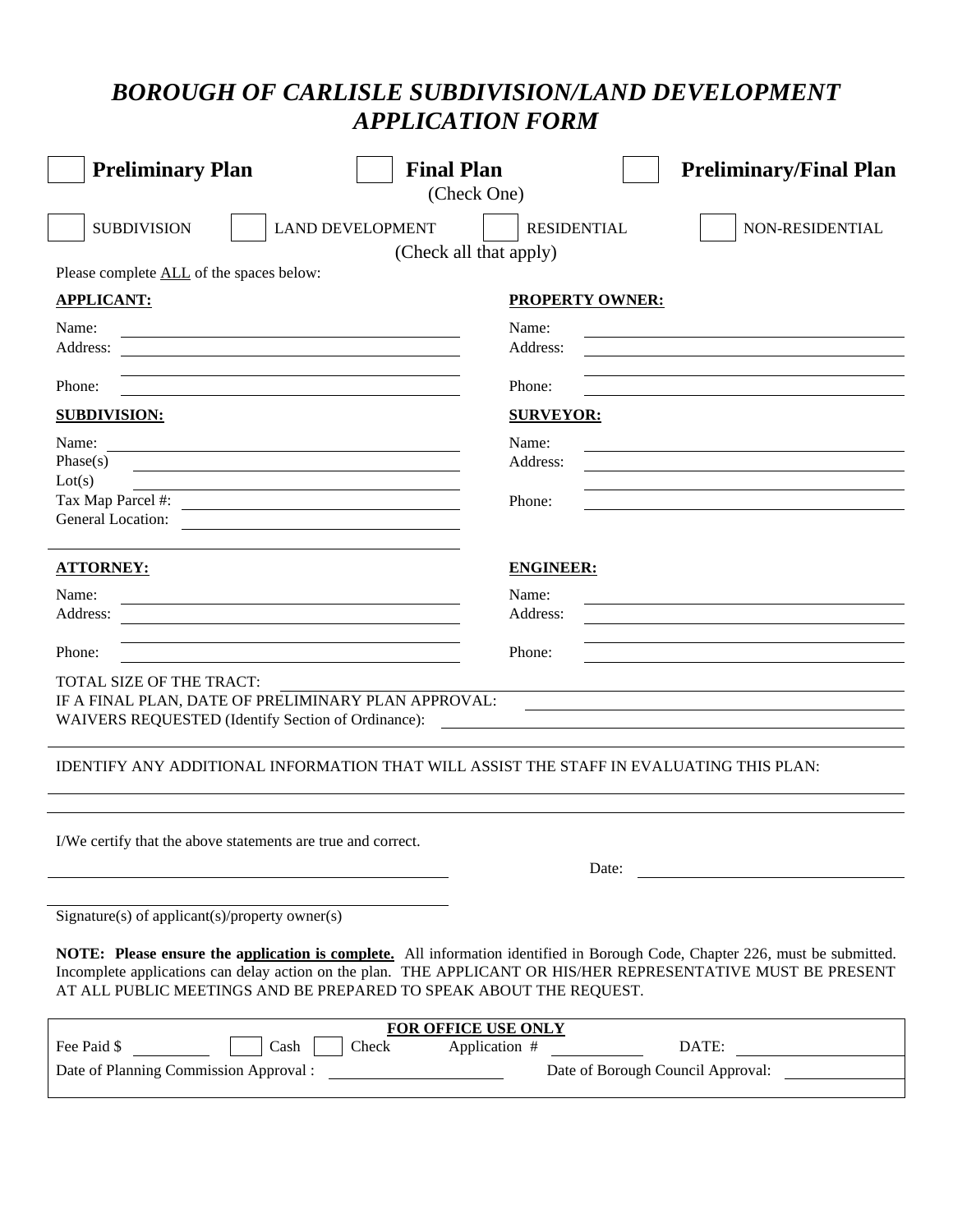## *BOROUGH OF CARLISLE SUBDIVISION/LAND DEVELOPMENT APPLICATION FORM*

| <b>Final Plan</b><br><b>Preliminary Plan</b><br>(Check One)                                                                                                                                                                                                                                                         | <b>Preliminary/Final Plan</b>         |  |  |  |  |  |
|---------------------------------------------------------------------------------------------------------------------------------------------------------------------------------------------------------------------------------------------------------------------------------------------------------------------|---------------------------------------|--|--|--|--|--|
| <b>LAND DEVELOPMENT</b><br><b>SUBDIVISION</b><br>(Check all that apply)                                                                                                                                                                                                                                             | <b>RESIDENTIAL</b><br>NON-RESIDENTIAL |  |  |  |  |  |
| Please complete ALL of the spaces below:                                                                                                                                                                                                                                                                            |                                       |  |  |  |  |  |
| <b>APPLICANT:</b>                                                                                                                                                                                                                                                                                                   | PROPERTY OWNER:                       |  |  |  |  |  |
| Name:                                                                                                                                                                                                                                                                                                               | Name:                                 |  |  |  |  |  |
| Address:<br><u> 1989 - Johann Stein, mars an deus Amerikaansk kommunister (</u>                                                                                                                                                                                                                                     | Address:                              |  |  |  |  |  |
| Phone:                                                                                                                                                                                                                                                                                                              | Phone:                                |  |  |  |  |  |
| <b>SUBDIVISION:</b>                                                                                                                                                                                                                                                                                                 | <b>SURVEYOR:</b>                      |  |  |  |  |  |
| Name:                                                                                                                                                                                                                                                                                                               | Name:                                 |  |  |  |  |  |
| Phase(s)                                                                                                                                                                                                                                                                                                            | Address:                              |  |  |  |  |  |
| Lot(s)<br>Tax Map Parcel #:                                                                                                                                                                                                                                                                                         | Phone:                                |  |  |  |  |  |
| <u> 1989 - Johann Barbara, martin amerikan basar dan berasal dan berasal dalam basar dalam basar dalam basar dala</u><br><b>General Location:</b>                                                                                                                                                                   |                                       |  |  |  |  |  |
|                                                                                                                                                                                                                                                                                                                     |                                       |  |  |  |  |  |
| <b>ATTORNEY:</b>                                                                                                                                                                                                                                                                                                    | <b>ENGINEER:</b>                      |  |  |  |  |  |
| Name:                                                                                                                                                                                                                                                                                                               | Name:                                 |  |  |  |  |  |
| Address:                                                                                                                                                                                                                                                                                                            | Address:                              |  |  |  |  |  |
| Phone:                                                                                                                                                                                                                                                                                                              | Phone:                                |  |  |  |  |  |
| <b>TOTAL SIZE OF THE TRACT:</b>                                                                                                                                                                                                                                                                                     |                                       |  |  |  |  |  |
| IF A FINAL PLAN, DATE OF PRELIMINARY PLAN APPROVAL:                                                                                                                                                                                                                                                                 |                                       |  |  |  |  |  |
| WAIVERS REQUESTED (Identify Section of Ordinance):                                                                                                                                                                                                                                                                  |                                       |  |  |  |  |  |
| IDENTIFY ANY ADDITIONAL INFORMATION THAT WILL ASSIST THE STAFF IN EVALUATING THIS PLAN:                                                                                                                                                                                                                             |                                       |  |  |  |  |  |
|                                                                                                                                                                                                                                                                                                                     |                                       |  |  |  |  |  |
| I/We certify that the above statements are true and correct.                                                                                                                                                                                                                                                        |                                       |  |  |  |  |  |
|                                                                                                                                                                                                                                                                                                                     | Date:                                 |  |  |  |  |  |
|                                                                                                                                                                                                                                                                                                                     |                                       |  |  |  |  |  |
| Signature(s) of applicant(s)/property owner(s)                                                                                                                                                                                                                                                                      |                                       |  |  |  |  |  |
| NOTE: Please ensure the application is complete. All information identified in Borough Code, Chapter 226, must be submitted.<br>Incomplete applications can delay action on the plan. THE APPLICANT OR HIS/HER REPRESENTATIVE MUST BE PRESENT<br>AT ALL PUBLIC MEETINGS AND BE PREPARED TO SPEAK ABOUT THE REQUEST. |                                       |  |  |  |  |  |
| FOR OFFICE USE ONLY                                                                                                                                                                                                                                                                                                 |                                       |  |  |  |  |  |
| Check<br>Fee Paid \$<br>Cash<br>Application #                                                                                                                                                                                                                                                                       | DATE:                                 |  |  |  |  |  |
| Date of Planning Commission Approval :                                                                                                                                                                                                                                                                              | Date of Borough Council Approval:     |  |  |  |  |  |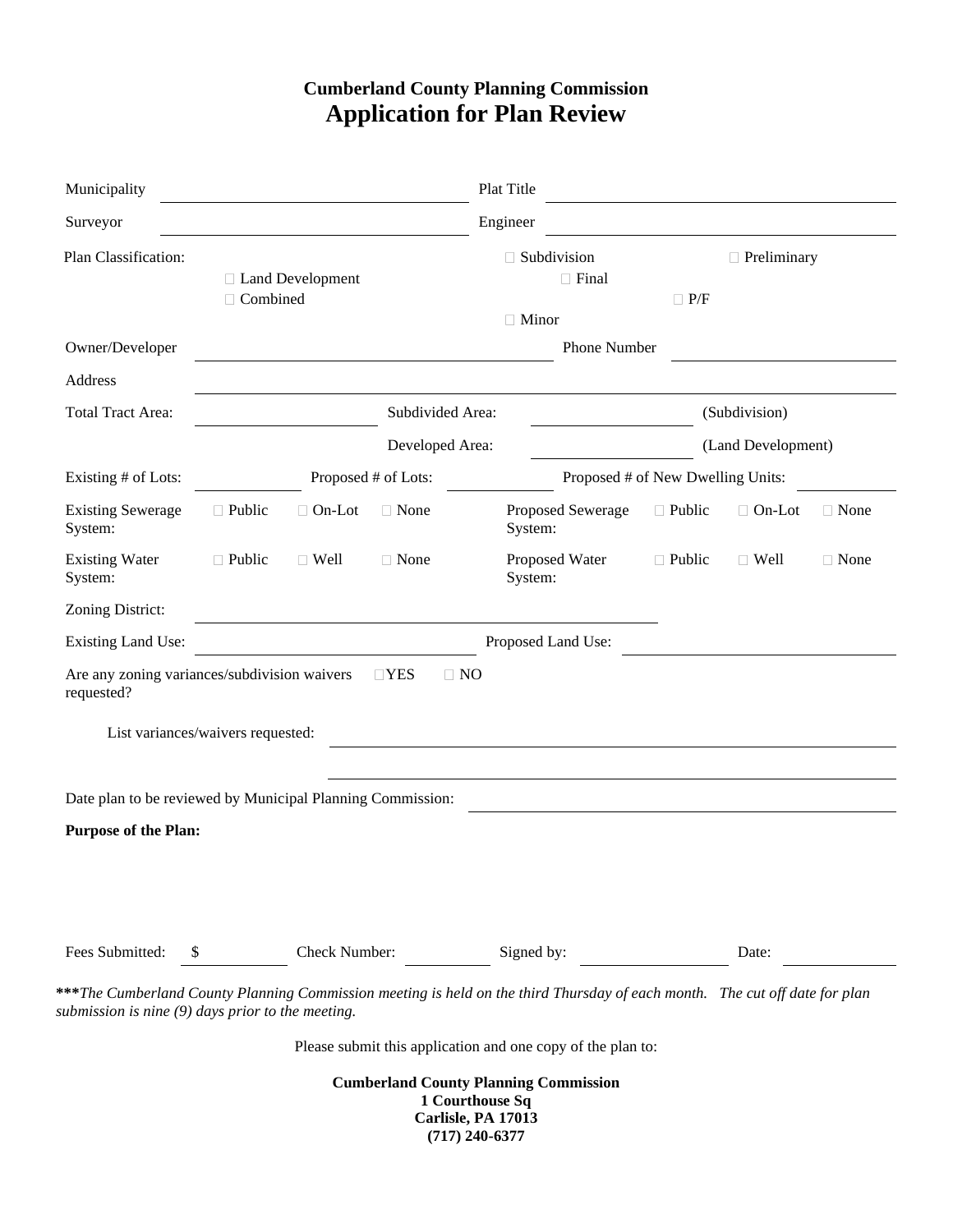### **Cumberland County Planning Commission Application for Plan Review**

| Municipality                                                                                                                                                                     |                                       |                    |             | Plat Title                                                                             |                                                             |               |               |             |  |
|----------------------------------------------------------------------------------------------------------------------------------------------------------------------------------|---------------------------------------|--------------------|-------------|----------------------------------------------------------------------------------------|-------------------------------------------------------------|---------------|---------------|-------------|--|
| Surveyor                                                                                                                                                                         |                                       |                    | Engineer    |                                                                                        |                                                             |               |               |             |  |
| Plan Classification:                                                                                                                                                             | □ Land Development<br>$\Box$ Combined |                    |             | $\Box$ Subdivision<br>$\Box$ Preliminary<br>$\Box$ Final<br>$\Box$ P/F<br>$\Box$ Minor |                                                             |               |               |             |  |
| Owner/Developer                                                                                                                                                                  |                                       | Phone Number       |             |                                                                                        |                                                             |               |               |             |  |
| Address                                                                                                                                                                          |                                       |                    |             |                                                                                        |                                                             |               |               |             |  |
| <b>Total Tract Area:</b>                                                                                                                                                         |                                       | Subdivided Area:   |             |                                                                                        | (Subdivision)                                               |               |               |             |  |
|                                                                                                                                                                                  | Developed Area:                       |                    |             |                                                                                        | (Land Development)                                          |               |               |             |  |
| Existing # of Lots:                                                                                                                                                              | Proposed # of Lots:                   |                    |             |                                                                                        | Proposed # of New Dwelling Units:                           |               |               |             |  |
| <b>Existing Sewerage</b><br>System:                                                                                                                                              | $\Box$ Public                         | $\Box$ On-Lot      | $\Box$ None | System:                                                                                | Proposed Sewerage                                           | $\Box$ Public | $\Box$ On-Lot | $\Box$ None |  |
| <b>Existing Water</b><br>System:                                                                                                                                                 | $\Box$ Public                         | $\Box$ Well        | □ None      | System:                                                                                | Proposed Water                                              | $\Box$ Public | $\Box$ Well   | $\Box$ None |  |
| Zoning District:                                                                                                                                                                 |                                       |                    |             |                                                                                        |                                                             |               |               |             |  |
| <b>Existing Land Use:</b>                                                                                                                                                        |                                       | Proposed Land Use: |             |                                                                                        |                                                             |               |               |             |  |
| Are any zoning variances/subdivision waivers<br>requested?                                                                                                                       |                                       |                    | $\Box$ YES  | $\Box$ NO                                                                              |                                                             |               |               |             |  |
|                                                                                                                                                                                  | List variances/waivers requested:     |                    |             |                                                                                        |                                                             |               |               |             |  |
| Date plan to be reviewed by Municipal Planning Commission:<br><b>Purpose of the Plan:</b>                                                                                        |                                       |                    |             |                                                                                        |                                                             |               |               |             |  |
| Fees Submitted:                                                                                                                                                                  | S.                                    |                    |             | Signed by:                                                                             |                                                             |               | Date:         |             |  |
|                                                                                                                                                                                  |                                       | Check Number:      |             |                                                                                        |                                                             |               |               |             |  |
| ***The Cumberland County Planning Commission meeting is held on the third Thursday of each month. The cut off date for plan<br>submission is nine (9) days prior to the meeting. |                                       |                    |             |                                                                                        |                                                             |               |               |             |  |
|                                                                                                                                                                                  |                                       |                    |             |                                                                                        | Please submit this application and one copy of the plan to: |               |               |             |  |

**Cumberland County Planning Commission 1 Courthouse Sq Carlisle, PA 17013 (717) 240-6377**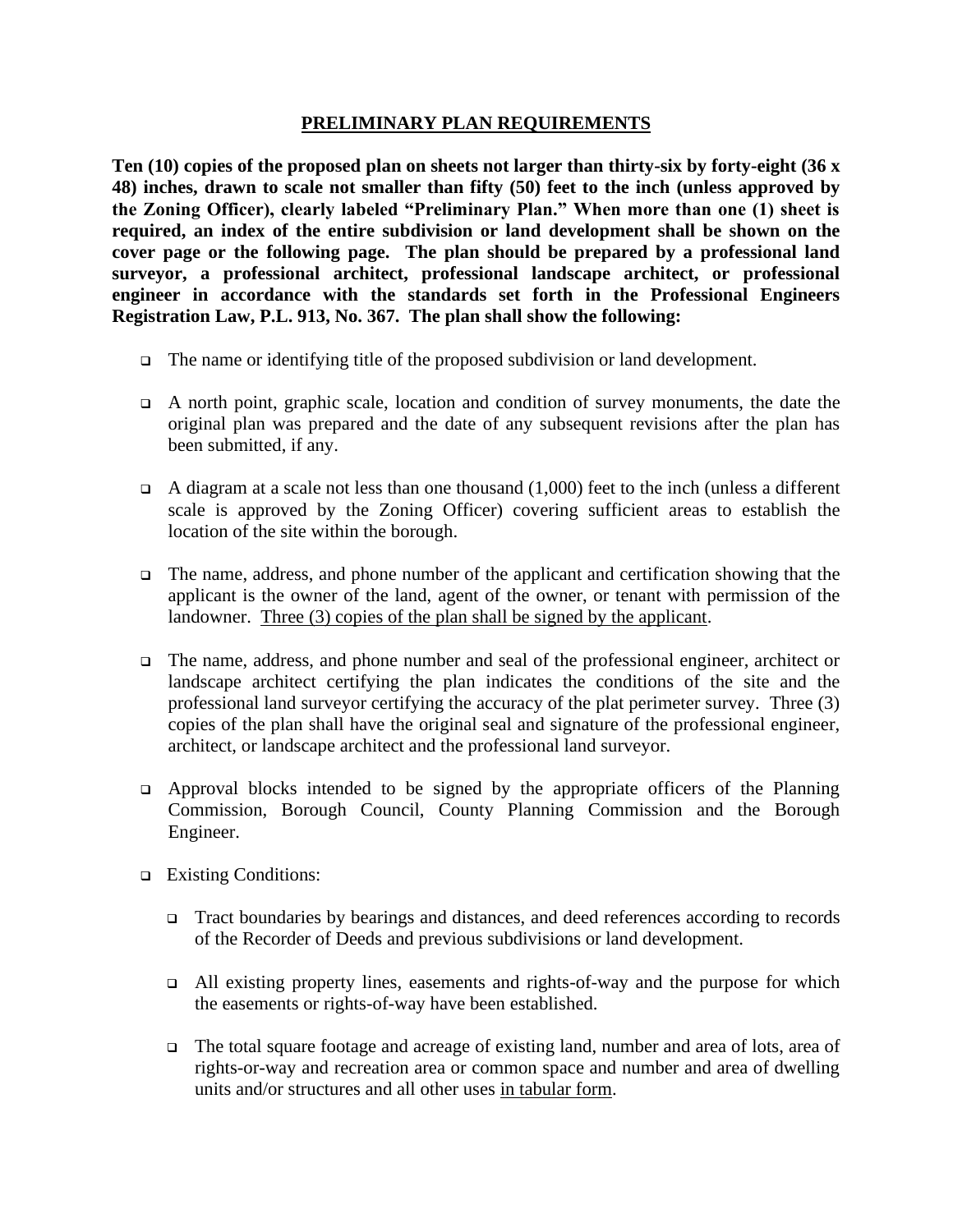#### **PRELIMINARY PLAN REQUIREMENTS**

**Ten (10) copies of the proposed plan on sheets not larger than thirty-six by forty-eight (36 x 48) inches, drawn to scale not smaller than fifty (50) feet to the inch (unless approved by the Zoning Officer), clearly labeled "Preliminary Plan." When more than one (1) sheet is required, an index of the entire subdivision or land development shall be shown on the cover page or the following page. The plan should be prepared by a professional land surveyor, a professional architect, professional landscape architect, or professional engineer in accordance with the standards set forth in the Professional Engineers Registration Law, P.L. 913, No. 367. The plan shall show the following:**

- ❑ The name or identifying title of the proposed subdivision or land development.
- ❑ A north point, graphic scale, location and condition of survey monuments, the date the original plan was prepared and the date of any subsequent revisions after the plan has been submitted, if any.
- $\Box$  A diagram at a scale not less than one thousand (1,000) feet to the inch (unless a different scale is approved by the Zoning Officer) covering sufficient areas to establish the location of the site within the borough.
- ❑ The name, address, and phone number of the applicant and certification showing that the applicant is the owner of the land, agent of the owner, or tenant with permission of the landowner. Three (3) copies of the plan shall be signed by the applicant.
- ❑ The name, address, and phone number and seal of the professional engineer, architect or landscape architect certifying the plan indicates the conditions of the site and the professional land surveyor certifying the accuracy of the plat perimeter survey. Three (3) copies of the plan shall have the original seal and signature of the professional engineer, architect, or landscape architect and the professional land surveyor.
- $\Box$  Approval blocks intended to be signed by the appropriate officers of the Planning Commission, Borough Council, County Planning Commission and the Borough Engineer.
- ❑ Existing Conditions:
	- ❑ Tract boundaries by bearings and distances, and deed references according to records of the Recorder of Deeds and previous subdivisions or land development.
	- ❑ All existing property lines, easements and rights-of-way and the purpose for which the easements or rights-of-way have been established.
	- ❑ The total square footage and acreage of existing land, number and area of lots, area of rights-or-way and recreation area or common space and number and area of dwelling units and/or structures and all other uses in tabular form.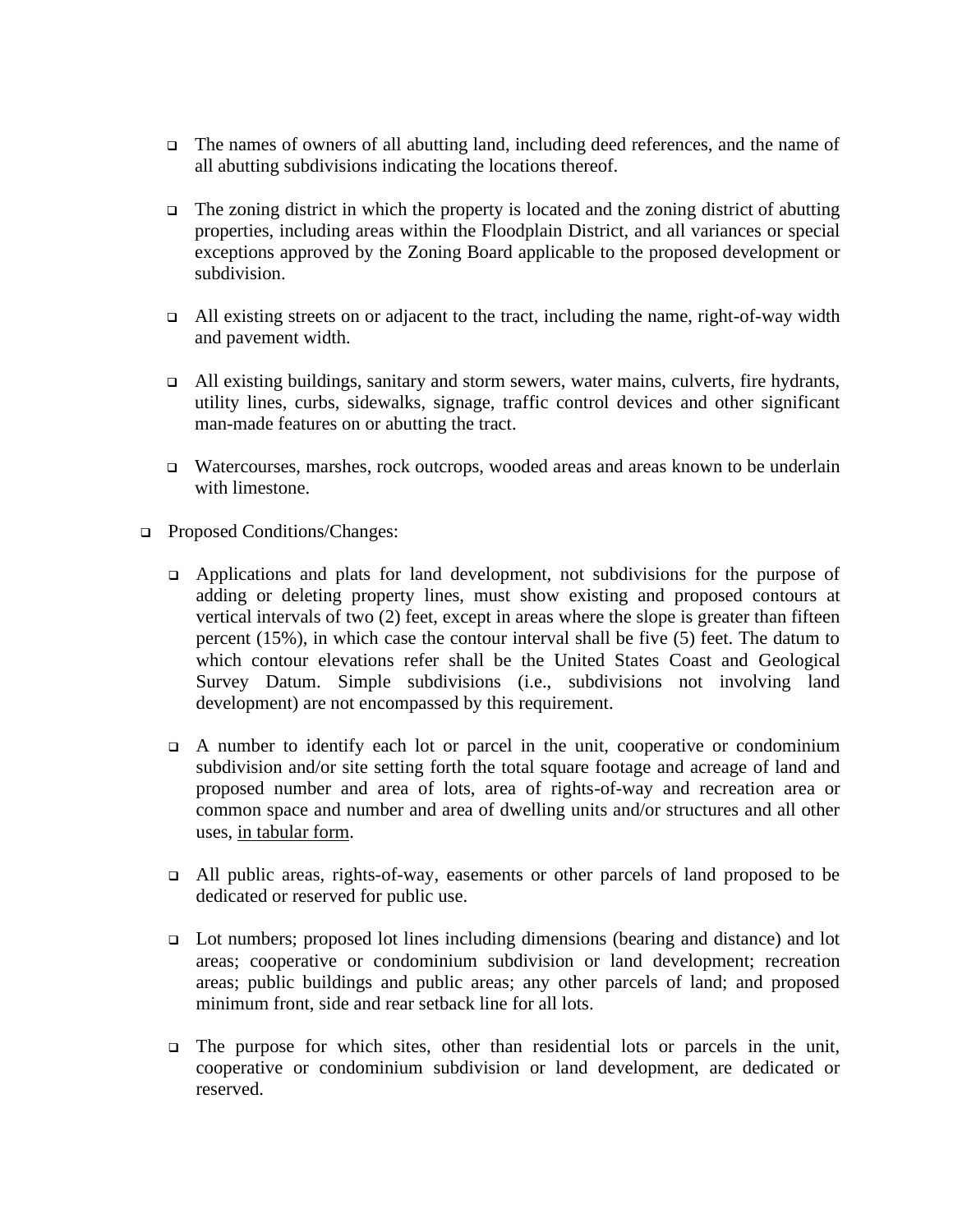- ❑ The names of owners of all abutting land, including deed references, and the name of all abutting subdivisions indicating the locations thereof.
- ❑ The zoning district in which the property is located and the zoning district of abutting properties, including areas within the Floodplain District, and all variances or special exceptions approved by the Zoning Board applicable to the proposed development or subdivision.
- ❑ All existing streets on or adjacent to the tract, including the name, right-of-way width and pavement width.
- ❑ All existing buildings, sanitary and storm sewers, water mains, culverts, fire hydrants, utility lines, curbs, sidewalks, signage, traffic control devices and other significant man-made features on or abutting the tract.
- ❑ Watercourses, marshes, rock outcrops, wooded areas and areas known to be underlain with limestone.
- ❑ Proposed Conditions/Changes:
	- ❑ Applications and plats for land development, not subdivisions for the purpose of adding or deleting property lines, must show existing and proposed contours at vertical intervals of two (2) feet, except in areas where the slope is greater than fifteen percent (15%), in which case the contour interval shall be five (5) feet. The datum to which contour elevations refer shall be the United States Coast and Geological Survey Datum. Simple subdivisions (i.e., subdivisions not involving land development) are not encompassed by this requirement.
	- ❑ A number to identify each lot or parcel in the unit, cooperative or condominium subdivision and/or site setting forth the total square footage and acreage of land and proposed number and area of lots, area of rights-of-way and recreation area or common space and number and area of dwelling units and/or structures and all other uses, in tabular form.
	- ❑ All public areas, rights-of-way, easements or other parcels of land proposed to be dedicated or reserved for public use.
	- ❑ Lot numbers; proposed lot lines including dimensions (bearing and distance) and lot areas; cooperative or condominium subdivision or land development; recreation areas; public buildings and public areas; any other parcels of land; and proposed minimum front, side and rear setback line for all lots.
	- ❑ The purpose for which sites, other than residential lots or parcels in the unit, cooperative or condominium subdivision or land development, are dedicated or reserved.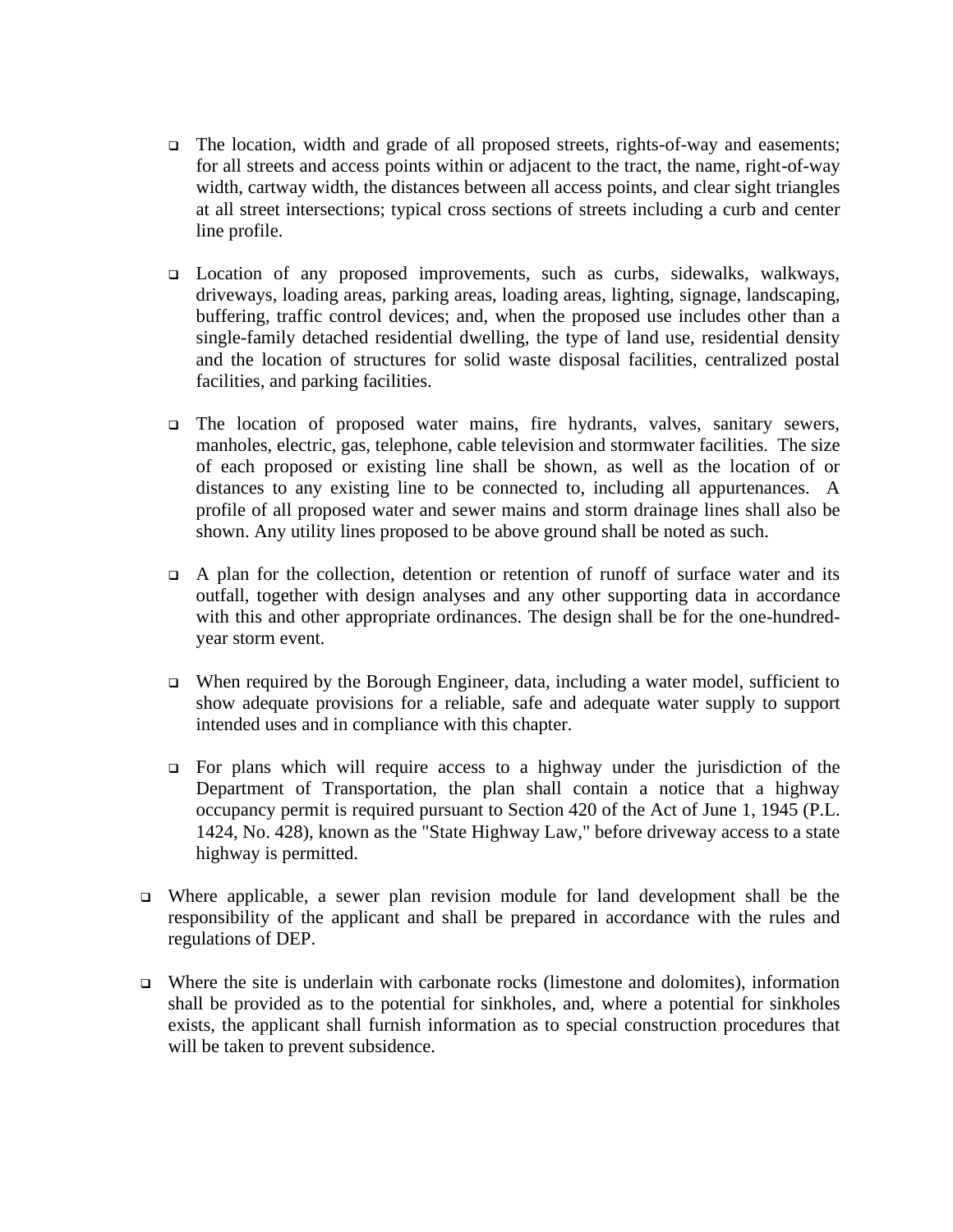- ❑ The location, width and grade of all proposed streets, rights-of-way and easements; for all streets and access points within or adjacent to the tract, the name, right-of-way width, cartway width, the distances between all access points, and clear sight triangles at all street intersections; typical cross sections of streets including a curb and center line profile.
- ❑ Location of any proposed improvements, such as curbs, sidewalks, walkways, driveways, loading areas, parking areas, loading areas, lighting, signage, landscaping, buffering, traffic control devices; and, when the proposed use includes other than a single-family detached residential dwelling, the type of land use, residential density and the location of structures for solid waste disposal facilities, centralized postal facilities, and parking facilities.
- ❑ The location of proposed water mains, fire hydrants, valves, sanitary sewers, manholes, electric, gas, telephone, cable television and stormwater facilities. The size of each proposed or existing line shall be shown, as well as the location of or distances to any existing line to be connected to, including all appurtenances. A profile of all proposed water and sewer mains and storm drainage lines shall also be shown. Any utility lines proposed to be above ground shall be noted as such.
- ❑ A plan for the collection, detention or retention of runoff of surface water and its outfall, together with design analyses and any other supporting data in accordance with this and other appropriate ordinances. The design shall be for the one-hundredyear storm event.
- ❑ When required by the Borough Engineer, data, including a water model, sufficient to show adequate provisions for a reliable, safe and adequate water supply to support intended uses and in compliance with this chapter.
- ❑ For plans which will require access to a highway under the jurisdiction of the Department of Transportation, the plan shall contain a notice that a highway occupancy permit is required pursuant to Section 420 of the Act of June 1, 1945 (P.L. 1424, No. 428), known as the "State Highway Law," before driveway access to a state highway is permitted.
- ❑ Where applicable, a sewer plan revision module for land development shall be the responsibility of the applicant and shall be prepared in accordance with the rules and regulations of DEP.
- ❑ Where the site is underlain with carbonate rocks (limestone and dolomites), information shall be provided as to the potential for sinkholes, and, where a potential for sinkholes exists, the applicant shall furnish information as to special construction procedures that will be taken to prevent subsidence.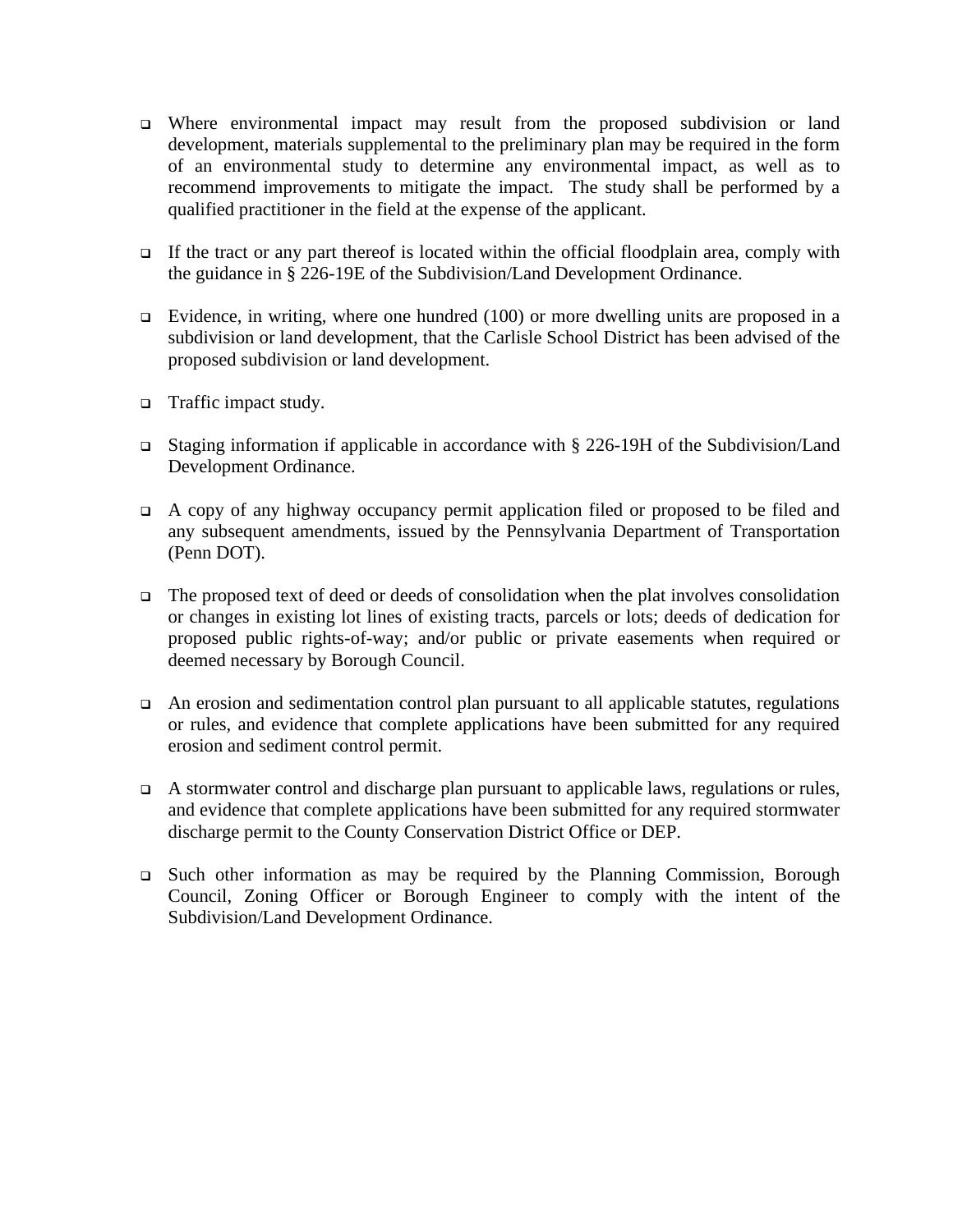- ❑ Where environmental impact may result from the proposed subdivision or land development, materials supplemental to the preliminary plan may be required in the form of an environmental study to determine any environmental impact, as well as to recommend improvements to mitigate the impact. The study shall be performed by a qualified practitioner in the field at the expense of the applicant.
- ❑ If the tract or any part thereof is located within the official floodplain area, comply with the guidance in § 226-19E of the Subdivision/Land Development Ordinance.
- ❑ Evidence, in writing, where one hundred (100) or more dwelling units are proposed in a subdivision or land development, that the Carlisle School District has been advised of the proposed subdivision or land development.
- ❑ Traffic impact study.
- ❑ Staging information if applicable in accordance with § 226-19H of the Subdivision/Land Development Ordinance.
- ❑ A copy of any highway occupancy permit application filed or proposed to be filed and any subsequent amendments, issued by the Pennsylvania Department of Transportation (Penn DOT).
- ❑ The proposed text of deed or deeds of consolidation when the plat involves consolidation or changes in existing lot lines of existing tracts, parcels or lots; deeds of dedication for proposed public rights-of-way; and/or public or private easements when required or deemed necessary by Borough Council.
- ❑ An erosion and sedimentation control plan pursuant to all applicable statutes, regulations or rules, and evidence that complete applications have been submitted for any required erosion and sediment control permit.
- ❑ A stormwater control and discharge plan pursuant to applicable laws, regulations or rules, and evidence that complete applications have been submitted for any required stormwater discharge permit to the County Conservation District Office or DEP.
- ❑ Such other information as may be required by the Planning Commission, Borough Council, Zoning Officer or Borough Engineer to comply with the intent of the Subdivision/Land Development Ordinance.